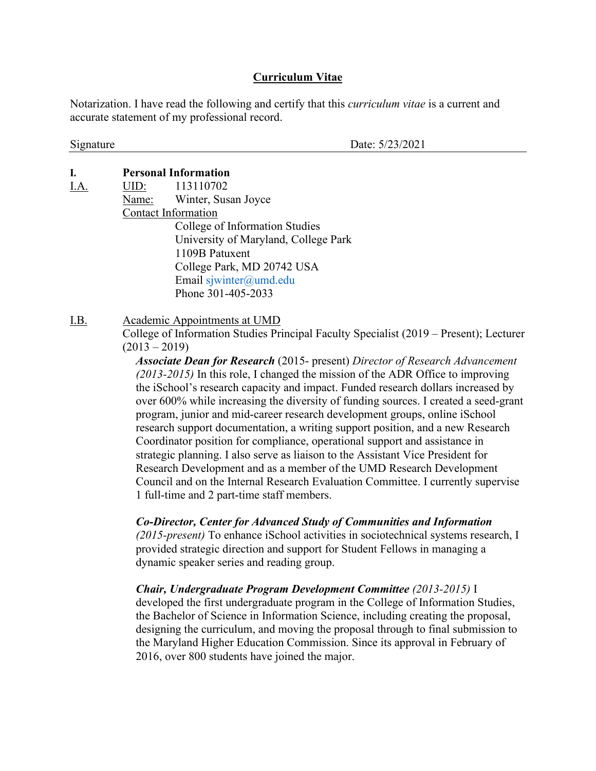## **Curriculum Vitae**

Notarization. I have read the following and certify that this *curriculum vitae* is a current and accurate statement of my professional record.

Signature Date: 5/23/2021

## **I. Personal Information**

I.A. UID: 113110702 Name: Winter, Susan Joyce Contact Information College of Information Studies University of Maryland, College Park 1109B Patuxent College Park, MD 20742 USA Email [sjwinter@umd.edu](mailto:swinter@nsf.gov) Phone 301-405-2033

I.B. Academic Appointments at UMD College of Information Studies Principal Faculty Specialist (2019 – Present); Lecturer  $(2013 - 2019)$ 

> *Associate Dean for Research* (2015- present) *Director of Research Advancement (2013-2015)* In this role, I changed the mission of the ADR Office to improving the iSchool's research capacity and impact. Funded research dollars increased by over 600% while increasing the diversity of funding sources. I created a seed-grant program, junior and mid-career research development groups, online iSchool research support documentation, a writing support position, and a new Research Coordinator position for compliance, operational support and assistance in strategic planning. I also serve as liaison to the Assistant Vice President for Research Development and as a member of the UMD Research Development Council and on the Internal Research Evaluation Committee. I currently supervise 1 full-time and 2 part-time staff members.

### *Co-Director, Center for Advanced Study of Communities and Information*

*(2015-present)* To enhance iSchool activities in sociotechnical systems research, I provided strategic direction and support for Student Fellows in managing a dynamic speaker series and reading group.

*Chair, Undergraduate Program Development Committee (2013-2015)* I developed the first undergraduate program in the College of Information Studies, the Bachelor of Science in Information Science, including creating the proposal, designing the curriculum, and moving the proposal through to final submission to the Maryland Higher Education Commission. Since its approval in February of 2016, over 800 students have joined the major.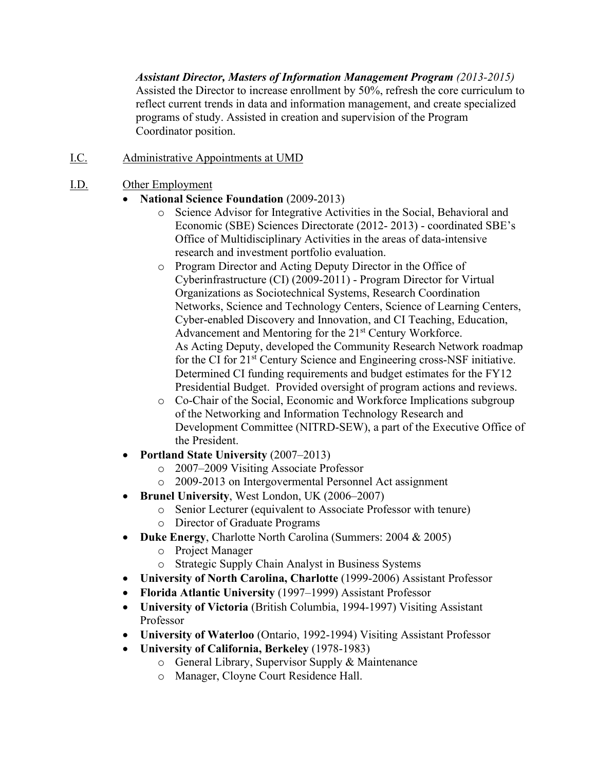*Assistant Director, Masters of Information Management Program (2013-2015)* Assisted the Director to increase enrollment by 50%, refresh the core curriculum to reflect current trends in data and information management, and create specialized programs of study. Assisted in creation and supervision of the Program Coordinator position.

- I.C. Administrative Appointments at UMD
- I.D. Other Employment
	- **National Science Foundation** (2009-2013)
		- o Science Advisor for Integrative Activities in the Social, Behavioral and Economic (SBE) Sciences Directorate (2012- 2013) - coordinated SBE's Office of Multidisciplinary Activities in the areas of data-intensive research and investment portfolio evaluation.
		- o Program Director and Acting Deputy Director in the Office of Cyberinfrastructure (CI) (2009-2011) - Program Director for Virtual Organizations as Sociotechnical Systems, Research Coordination Networks, Science and Technology Centers, Science of Learning Centers, Cyber-enabled Discovery and Innovation, and CI Teaching, Education, Advancement and Mentoring for the 21<sup>st</sup> Century Workforce. As Acting Deputy, developed the Community Research Network roadmap for the CI for 21st Century Science and Engineering cross-NSF initiative. Determined CI funding requirements and budget estimates for the FY12 Presidential Budget. Provided oversight of program actions and reviews.
		- o Co-Chair of the Social, Economic and Workforce Implications subgroup of the Networking and Information Technology Research and Development Committee (NITRD-SEW), a part of the Executive Office of the President.
	- **Portland State University** (2007–2013)
		- o 2007–2009 Visiting Associate Professor
		- o 2009-2013 on Intergovermental Personnel Act assignment
	- **Brunel University**, West London, UK (2006–2007)
		- o Senior Lecturer (equivalent to Associate Professor with tenure)
		- o Director of Graduate Programs
	- **Duke Energy**, Charlotte North Carolina (Summers: 2004 & 2005)
		- o Project Manager
		- o Strategic Supply Chain Analyst in Business Systems
	- **University of North Carolina, Charlotte** (1999-2006) Assistant Professor
	- **Florida Atlantic University** (1997–1999) Assistant Professor
	- **University of Victoria** (British Columbia, 1994-1997) Visiting Assistant Professor
	- **University of Waterloo** (Ontario, 1992-1994) Visiting Assistant Professor
	- **University of California, Berkeley** (1978-1983)
		- o General Library, Supervisor Supply & Maintenance
		- o Manager, Cloyne Court Residence Hall.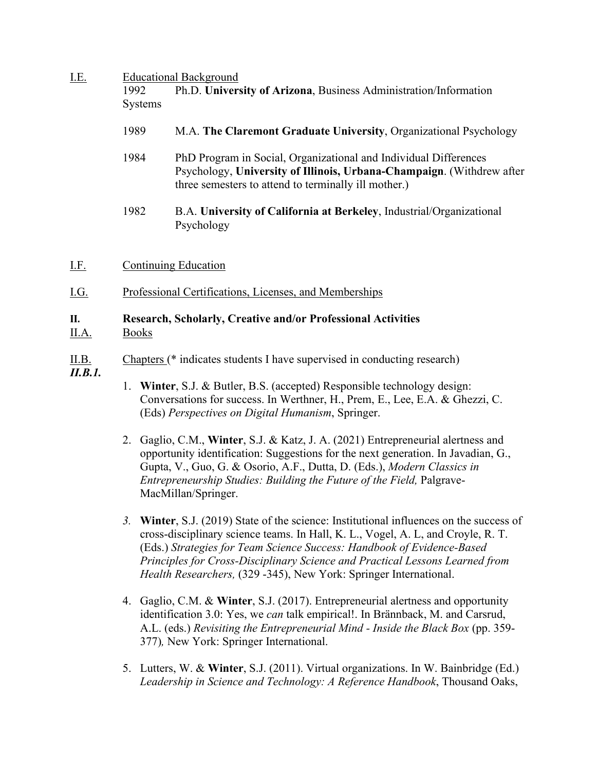# I.E. Educational Background

| I.C. | Equeational Background |                                                                                                                                                                                                   |  |  |
|------|------------------------|---------------------------------------------------------------------------------------------------------------------------------------------------------------------------------------------------|--|--|
|      | 1992                   | Ph.D. University of Arizona, Business Administration/Information                                                                                                                                  |  |  |
|      | <b>Systems</b>         |                                                                                                                                                                                                   |  |  |
|      | 1989                   | M.A. The Claremont Graduate University, Organizational Psychology                                                                                                                                 |  |  |
|      | 1984                   | PhD Program in Social, Organizational and Individual Differences<br>Psychology, University of Illinois, Urbana-Champaign. (Withdrew after<br>three semesters to attend to terminally ill mother.) |  |  |
|      | 1982                   | B.A. University of California at Berkeley, Industrial/Organizational<br>Psychology                                                                                                                |  |  |
| I.F. |                        | Continuing Education                                                                                                                                                                              |  |  |

I.G. Professional Certifications, Licenses, and Memberships

## **II. Research, Scholarly, Creative and/or Professional Activities** II.A. Books

# II.B. Chapters (\* indicates students I have supervised in conducting research)

- *II.B.1.*
- 1. **Winter**, S.J. & Butler, B.S. (accepted) Responsible technology design: Conversations for success. In Werthner, H., Prem, E., Lee, E.A. & Ghezzi, C. (Eds) *Perspectives on Digital Humanism*, Springer.
- 2. Gaglio, C.M., **Winter**, S.J. & Katz, J. A. (2021) Entrepreneurial alertness and opportunity identification: Suggestions for the next generation. In Javadian, G., Gupta, V., Guo, G. & Osorio, A.F., Dutta, D. (Eds.), *Modern Classics in Entrepreneurship Studies: Building the Future of the Field,* Palgrave-MacMillan/Springer.
- *3.* **Winter**, S.J. (2019) State of the science: Institutional influences on the success of cross-disciplinary science teams. In Hall, K. L., Vogel, A. L, and Croyle, R. T. (Eds.) *Strategies for Team Science Success: Handbook of Evidence-Based Principles for Cross-Disciplinary Science and Practical Lessons Learned from Health Researchers,* (329 -345), New York: Springer International.
- 4. Gaglio, C.M. & **Winter**, S.J. (2017). Entrepreneurial alertness and opportunity identification 3.0: Yes, we *can* talk empirical!. In Brännback, M. and Carsrud, A.L. (eds.) *Revisiting the Entrepreneurial Mind - Inside the Black Box* (pp. 359- 377)*,* New York: Springer International.
- 5. Lutters, W. & **Winter**, S.J. (2011). Virtual organizations. In W. Bainbridge (Ed.) *Leadership in Science and Technology: A Reference Handbook*, Thousand Oaks,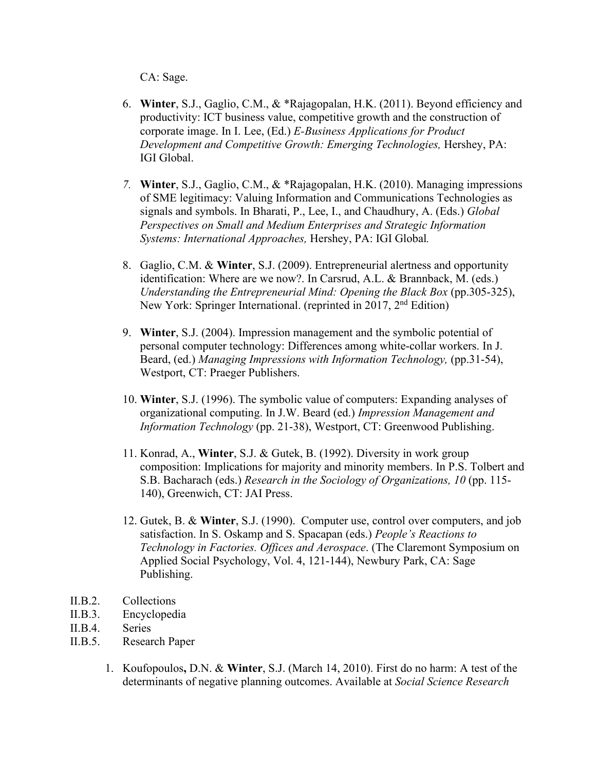CA: Sage.

- 6. **Winter**, S.J., Gaglio, C.M., & \*Rajagopalan, H.K. (2011). Beyond efficiency and productivity: ICT business value, competitive growth and the construction of corporate image. In I. Lee, (Ed.) *E-Business Applications for Product Development and Competitive Growth: Emerging Technologies,* Hershey, PA: IGI Global.
- *7.* **Winter**, S.J., Gaglio, C.M., & \*Rajagopalan, H.K. (2010). Managing impressions of SME legitimacy: Valuing Information and Communications Technologies as signals and symbols. In Bharati, P., Lee, I., and Chaudhury, A. (Eds.) *Global Perspectives on Small and Medium Enterprises and Strategic Information Systems: International Approaches,* Hershey, PA: IGI Global*.*
- 8. Gaglio, C.M. & **Winter**, S.J. (2009). Entrepreneurial alertness and opportunity identification: Where are we now?. In Carsrud, A.L. & Brannback, M. (eds.) *Understanding the Entrepreneurial Mind: Opening the Black Box (pp.305-325),* New York: Springer International. (reprinted in 2017, 2<sup>nd</sup> Edition)
- 9. **Winter**, S.J. (2004). Impression management and the symbolic potential of personal computer technology: Differences among white-collar workers. In J. Beard, (ed.) *Managing Impressions with Information Technology,* (pp.31-54), Westport, CT: Praeger Publishers.
- 10. **Winter**, S.J. (1996). The symbolic value of computers: Expanding analyses of organizational computing. In J.W. Beard (ed.) *Impression Management and Information Technology* (pp. 21-38), Westport, CT: Greenwood Publishing.
- 11. Konrad, A., **Winter**, S.J. & Gutek, B. (1992). Diversity in work group composition: Implications for majority and minority members. In P.S. Tolbert and S.B. Bacharach (eds.) *Research in the Sociology of Organizations, 10* (pp. 115- 140), Greenwich, CT: JAI Press.
- 12. Gutek, B. & **Winter**, S.J. (1990). Computer use, control over computers, and job satisfaction. In S. Oskamp and S. Spacapan (eds.) *People's Reactions to Technology in Factories. Offices and Aerospace*. (The Claremont Symposium on Applied Social Psychology, Vol. 4, 121-144), Newbury Park, CA: Sage Publishing.
- II.B.2. Collections
- II.B.3. Encyclopedia
- II.B.4. Series
- II.B.5. Research Paper
	- 1. Koufopoulos**,** D.N. & **Winter**, S.J. (March 14, 2010). First do no harm: A test of the determinants of negative planning outcomes. Available at *Social Science Research*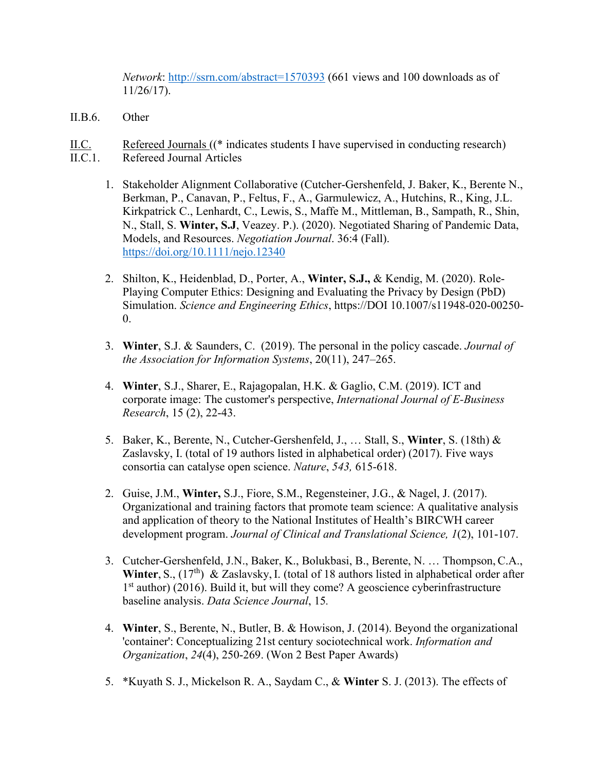*Network*:<http://ssrn.com/abstract=1570393> (661 views and 100 downloads as of 11/26/17).

- II.B.6. Other
- II.C. Refereed Journals ((\* indicates students I have supervised in conducting research) II.C.1. Refereed Journal Articles
	- 1. Stakeholder Alignment Collaborative (Cutcher-Gershenfeld, J. Baker, K., Berente N., Berkman, P., Canavan, P., Feltus, F., A., Garmulewicz, A., Hutchins, R., King, J.L. Kirkpatrick C., Lenhardt, C., Lewis, S., Maffe M., Mittleman, B., Sampath, R., Shin, N., Stall, S. **Winter, S.J**, Veazey. P.). (2020). Negotiated Sharing of Pandemic Data, Models, and Resources. *Negotiation Journal*. 36:4 (Fall). <https://doi.org/10.1111/nejo.12340>
	- 2. Shilton, K., Heidenblad, D., Porter, A., **Winter, S.J.,** & Kendig, M. (2020). Role-Playing Computer Ethics: Designing and Evaluating the Privacy by Design (PbD) Simulation. *Science and Engineering Ethics*, https://DOI 10.1007/s11948-020-00250-  $\theta$ .
	- 3. **Winter**, S.J. & Saunders, C. (2019). The personal in the policy cascade. *Journal of the Association for Information Systems*, 20(11), 247–265.
	- 4. **Winter**, S.J., Sharer, E., Rajagopalan, H.K. & Gaglio, C.M. (2019). ICT and corporate image: The customer's perspective, *International Journal of E-Business Research*, 15 (2), 22-43.
	- 5. Baker, K., Berente, N., Cutcher-Gershenfeld, J., … Stall, S., **Winter**, S. (18th) & Zaslavsky, I. (total of 19 authors listed in alphabetical order) (2017). Five ways consortia can catalyse open science. *Nature*, *543,* 615-618.
	- 2. Guise, J.M., **Winter,** S.J., Fiore, S.M., Regensteiner, J.G., & Nagel, J. (2017). Organizational and training factors that promote team science: A qualitative analysis and application of theory to the National Institutes of Health's BIRCWH career development program. *Journal of Clinical and Translational Science, 1*(2), 101-107.
	- 3. Cutcher-Gershenfeld, J.N., Baker, K., Bolukbasi, B., Berente, N. … Thompson, C.A., Winter, S.,  $(17<sup>th</sup>)$  & Zaslavsky, I. (total of 18 authors listed in alphabetical order after 1<sup>st</sup> author) (2016). Build it, but will they come? A geoscience cyberinfrastructure baseline analysis. *Data Science Journal*, 15*.*
	- 4. **Winter**, S., Berente, N., Butler, B. & Howison, J. (2014). Beyond the organizational 'container': Conceptualizing 21st century sociotechnical work. *Information and Organization*, *24*(4), 250-269. (Won 2 Best Paper Awards)
	- 5. \*Kuyath S. J., Mickelson R. A., Saydam C., & **Winter** S. J. (2013). The effects of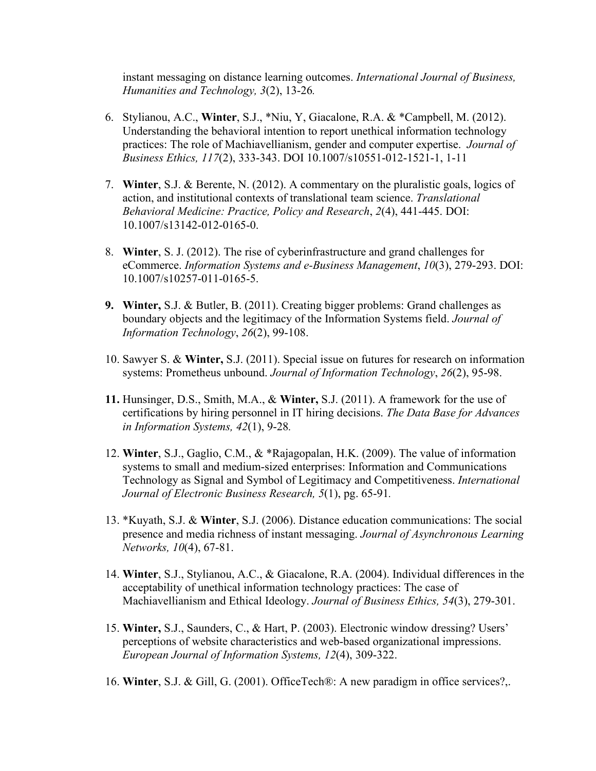instant messaging on distance learning outcomes. *International Journal of Business, Humanities and Technology, 3*(2), 13-26*.* 

- 6. Stylianou, A.C., **Winter**, S.J., \*Niu, Y, Giacalone, R.A. & \*Campbell, M. (2012). Understanding the behavioral intention to report unethical information technology practices: The role of Machiavellianism, gender and computer expertise. *Journal of Business Ethics, 117*(2), 333-343. DOI 10.1007/s10551-012-1521-1, 1-11
- 7. **Winter**, S.J. & Berente, N. (2012). A commentary on the pluralistic goals, logics of action, and institutional contexts of translational team science. *Translational Behavioral Medicine: Practice, Policy and Research*, *2*(4), 441-445. DOI: 10.1007/s13142-012-0165-0.
- 8. **Winter**, S. J. (2012). The rise of cyberinfrastructure and grand challenges for eCommerce. *Information Systems and e-Business Management*, *10*(3), 279-293. DOI: 10.1007/s10257-011-0165-5.
- **9. Winter,** S.J. & Butler, B. (2011). Creating bigger problems: Grand challenges as boundary objects and the legitimacy of the Information Systems field. *Journal of Information Technology*, *26*(2), 99-108.
- 10. Sawyer S. & **Winter,** S.J. (2011). Special issue on futures for research on information systems: Prometheus unbound. *Journal of Information Technology*, *26*(2), 95-98.
- **11.** Hunsinger, D.S., Smith, M.A., & **Winter,** S.J. (2011). A framework for the use of certifications by hiring personnel in IT hiring decisions. *The Data Base for Advances in Information Systems, 42*(1), 9-28*.*
- 12. **Winter**, S.J., Gaglio, C.M., & \*Rajagopalan, H.K. (2009). The value of information systems to small and medium-sized enterprises: Information and Communications Technology as Signal and Symbol of Legitimacy and Competitiveness. *International Journal of Electronic Business Research, 5*(1), pg. 65-91*.*
- 13. \*Kuyath, S.J. & **Winter**, S.J. (2006). Distance education communications: The social presence and media richness of instant messaging. *Journal of Asynchronous Learning Networks, 10*(4), 67-81.
- 14. **Winter**, S.J., Stylianou, A.C., & Giacalone, R.A. (2004). Individual differences in the acceptability of unethical information technology practices: The case of Machiavellianism and Ethical Ideology. *Journal of Business Ethics, 54*(3), 279-301.
- 15. **Winter,** S.J., Saunders, C., & Hart, P. (2003). Electronic window dressing? Users' perceptions of website characteristics and web-based organizational impressions. *European Journal of Information Systems, 12*(4), 309-322.
- 16. **Winter**, S.J. & Gill, G. (2001). OfficeTech®: A new paradigm in office services?,.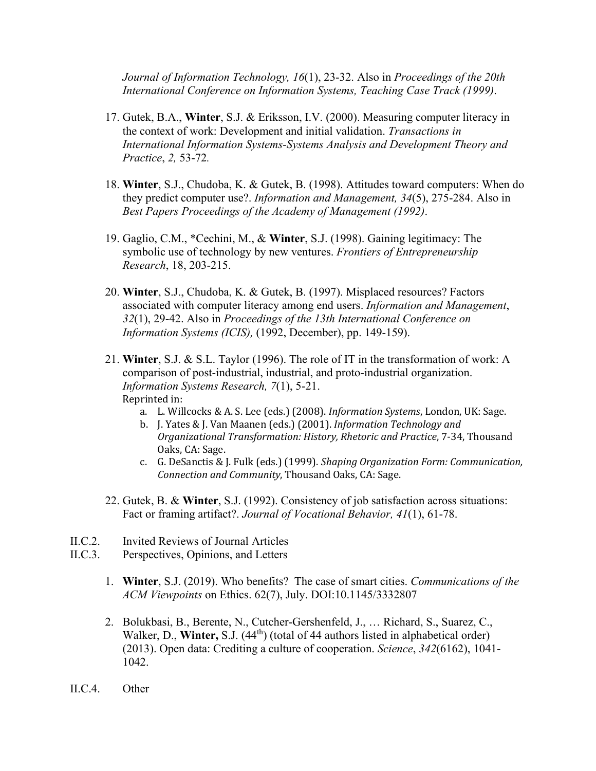*Journal of Information Technology, 16*(1), 23-32. Also in *Proceedings of the 20th International Conference on Information Systems, Teaching Case Track (1999)*.

- 17. Gutek, B.A., **Winter**, S.J. & Eriksson, I.V. (2000). Measuring computer literacy in the context of work: Development and initial validation. *Transactions in International Information Systems-Systems Analysis and Development Theory and Practice*, *2,* 53-72*.*
- 18. **Winter**, S.J., Chudoba, K. & Gutek, B. (1998). Attitudes toward computers: When do they predict computer use?. *Information and Management, 34*(5), 275-284. Also in *Best Papers Proceedings of the Academy of Management (1992)*.
- 19. Gaglio, C.M., \*Cechini, M., & **Winter**, S.J. (1998). Gaining legitimacy: The symbolic use of technology by new ventures. *Frontiers of Entrepreneurship Research*, 18, 203-215.
- 20. **Winter**, S.J., Chudoba, K. & Gutek, B. (1997). Misplaced resources? Factors associated with computer literacy among end users. *Information and Management*, *32*(1), 29-42. Also in *Proceedings of the 13th International Conference on Information Systems (ICIS),* (1992, December), pp. 149-159).
- 21. **Winter**, S.J. & S.L. Taylor (1996). The role of IT in the transformation of work: A comparison of post-industrial, industrial, and proto-industrial organization. *Information Systems Research, 7*(1), 5-21. Reprinted in:
	- a. L. Willcocks & A. S. Lee (eds.) (2008). *Information Systems*, London, UK: Sage.
	- b. J. Yates & J. Van Maanen (eds.) (2001). *Information Technology and Organizational Transformation: History, Rhetoric and Practice*, 7-34, Thousand Oaks, CA: Sage.
	- c. G. DeSanctis & J. Fulk (eds.) (1999). *Shaping Organization Form: Communication, Connection and Community*, Thousand Oaks, CA: Sage.
- 22. Gutek, B. & **Winter**, S.J. (1992). Consistency of job satisfaction across situations: Fact or framing artifact?. *Journal of Vocational Behavior, 41*(1), 61-78.
- II.C.2. Invited Reviews of Journal Articles
- II.C.3. Perspectives, Opinions, and Letters
	- 1. **Winter**, S.J. (2019). Who benefits? The case of smart cities. *Communications of the ACM Viewpoints* on Ethics. 62(7), July. DOI:10.1145/3332807
	- 2. Bolukbasi, B., Berente, N., Cutcher-Gershenfeld, J., … Richard, S., Suarez, C., Walker, D., **Winter,** S.J. (44<sup>th</sup>) (total of 44 authors listed in alphabetical order) (2013). Open data: Crediting a culture of cooperation. *Science*, *342*(6162), 1041- 1042.
- II.C.4. Other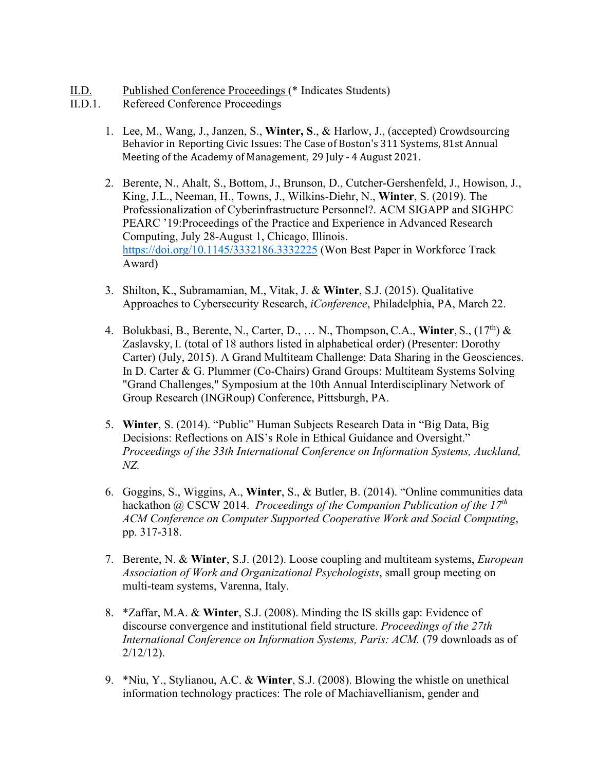- II.D. Published Conference Proceedings (\* Indicates Students)
- II.D.1. Refereed Conference Proceedings
	- 1. Lee, M., Wang, J., Janzen, S., **Winter, S**., & Harlow, J., (accepted) Crowdsourcing Behavior in Reporting Civic Issues: The Case of Boston's 311 Systems, 81st Annual Meeting of the Academy of Management, 29 July - 4 August 2021.
	- 2. Berente, N., Ahalt, S., Bottom, J., Brunson, D., Cutcher-Gershenfeld, J., Howison, J., King, J.L., Neeman, H., Towns, J., Wilkins-Diehr, N., **Winter**, S. (2019). The Professionalization of Cyberinfrastructure Personnel?. ACM SIGAPP and SIGHPC PEARC '19:Proceedings of the Practice and Experience in Advanced Research Computing, July 28-August 1, Chicago, Illinois. <https://doi.org/10.1145/3332186.3332225> (Won Best Paper in Workforce Track Award)
	- 3. Shilton, K., Subramamian, M., Vitak, J. & **Winter**, S.J. (2015). Qualitative Approaches to Cybersecurity Research, *iConference*, Philadelphia, PA, March 22.
	- 4. Bolukbasi, B., Berente, N., Carter, D., … N., Thompson, C.A., **Winter**, S., (17th) & Zaslavsky, I. (total of 18 authors listed in alphabetical order) (Presenter: Dorothy Carter) (July, 2015). A Grand Multiteam Challenge: Data Sharing in the Geosciences. In D. Carter & G. Plummer (Co-Chairs) Grand Groups: Multiteam Systems Solving "Grand Challenges," Symposium at the 10th Annual Interdisciplinary Network of Group Research (INGRoup) Conference, Pittsburgh, PA.
	- 5. **Winter**, S. (2014). "Public" Human Subjects Research Data in "Big Data, Big Decisions: Reflections on AIS's Role in Ethical Guidance and Oversight." *Proceedings of the 33th International Conference on Information Systems, Auckland, NZ.*
	- 6. Goggins, S., Wiggins, A., **Winter**, S., & Butler, B. (2014). "Online communities data hackathon @ CSCW 2014. *Proceedings of the Companion Publication of the 17th ACM Conference on Computer Supported Cooperative Work and Social Computing*, pp. 317-318.
	- 7. Berente, N. & **Winter**, S.J. (2012). Loose coupling and multiteam systems, *European Association of Work and Organizational Psychologists*, small group meeting on multi-team systems, Varenna, Italy.
	- 8. \*Zaffar, M.A. & **Winter**, S.J. (2008). Minding the IS skills gap: Evidence of discourse convergence and institutional field structure. *Proceedings of the 27th International Conference on Information Systems, Paris: ACM.* (79 downloads as of 2/12/12).
	- 9. \*Niu, Y., Stylianou, A.C. & **Winter**, S.J. (2008). Blowing the whistle on unethical information technology practices: The role of Machiavellianism, gender and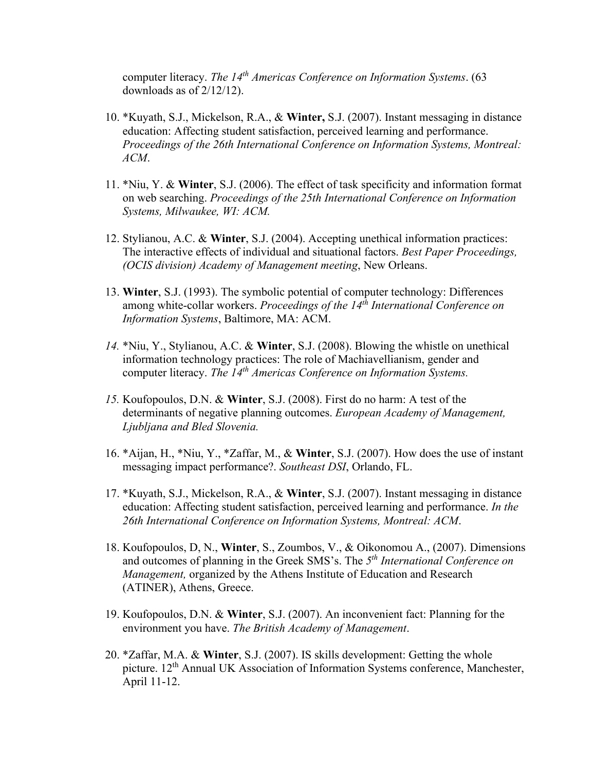computer literacy. *The 14th Americas Conference on Information Systems*. (63 downloads as of 2/12/12).

- 10. \*Kuyath, S.J., Mickelson, R.A., & **Winter,** S.J. (2007). Instant messaging in distance education: Affecting student satisfaction, perceived learning and performance. *Proceedings of the 26th International Conference on Information Systems, Montreal: ACM*.
- 11. \*Niu, Y. & **Winter**, S.J. (2006). The effect of task specificity and information format on web searching. *Proceedings of the 25th International Conference on Information Systems, Milwaukee, WI: ACM.*
- 12. Stylianou, A.C. & **Winter**, S.J. (2004). Accepting unethical information practices: The interactive effects of individual and situational factors. *Best Paper Proceedings, (OCIS division) Academy of Management meeting*, New Orleans.
- 13. **Winter**, S.J. (1993). The symbolic potential of computer technology: Differences among white-collar workers. *Proceedings of the 14th International Conference on Information Systems*, Baltimore, MA: ACM.
- *14.* \*Niu, Y., Stylianou, A.C. & **Winter**, S.J. (2008). Blowing the whistle on unethical information technology practices: The role of Machiavellianism, gender and computer literacy. *The 14th Americas Conference on Information Systems.*
- *15.* Koufopoulos, D.N. & **Winter**, S.J. (2008). First do no harm: A test of the determinants of negative planning outcomes. *European Academy of Management, Ljubljana and Bled Slovenia.*
- 16. \*Aijan, H., \*Niu, Y., \*Zaffar, M., & **Winter**, S.J. (2007). How does the use of instant messaging impact performance?. *Southeast DSI*, Orlando, FL.
- 17. \*Kuyath, S.J., Mickelson, R.A., & **Winter**, S.J. (2007). Instant messaging in distance education: Affecting student satisfaction, perceived learning and performance. *In the 26th International Conference on Information Systems, Montreal: ACM*.
- 18. Koufopoulos, D, N., **Winter**, S., Zoumbos, V., & Oikonomou A., (2007). Dimensions and outcomes of planning in the Greek SMS's. The *5th International Conference on Management,* organized by the Athens Institute of Education and Research (ATINER), Athens, Greece.
- 19. Koufopoulos, D.N. & **Winter**, S.J. (2007). An inconvenient fact: Planning for the environment you have. *The British Academy of Management*.
- 20. \*Zaffar, M.A. & **Winter**, S.J. (2007). IS skills development: Getting the whole picture. 12<sup>th</sup> Annual UK Association of Information Systems conference, Manchester, April 11-12.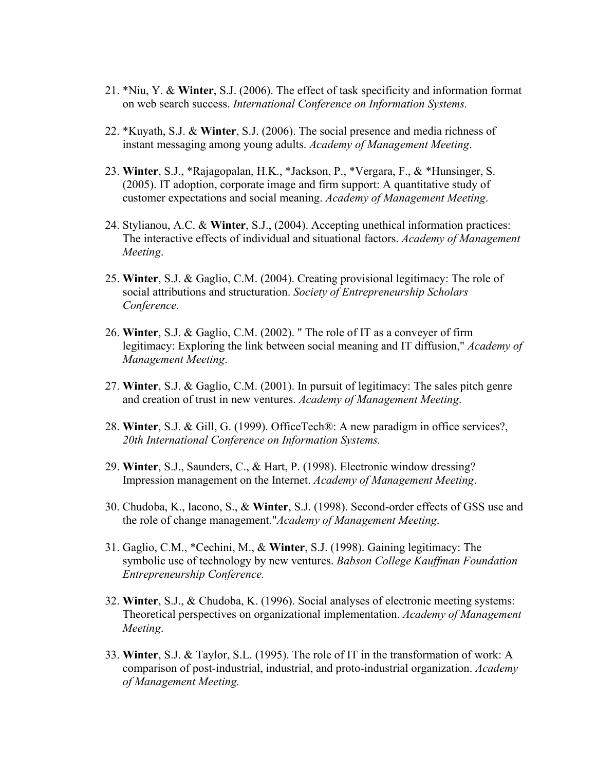- 21. \*Niu, Y. & **Winter**, S.J. (2006). The effect of task specificity and information format on web search success. *International Conference on Information Systems.*
- 22. \*Kuyath, S.J. & **Winter**, S.J. (2006). The social presence and media richness of instant messaging among young adults. *Academy of Management Meeting*.
- 23. **Winter**, S.J., \*Rajagopalan, H.K., \*Jackson, P., \*Vergara, F., & \*Hunsinger, S. (2005). IT adoption, corporate image and firm support: A quantitative study of customer expectations and social meaning. *Academy of Management Meeting*.
- 24. Stylianou, A.C. & **Winter**, S.J., (2004). Accepting unethical information practices: The interactive effects of individual and situational factors. *Academy of Management Meeting*.
- 25. **Winter**, S.J. & Gaglio, C.M. (2004). Creating provisional legitimacy: The role of social attributions and structuration. *Society of Entrepreneurship Scholars Conference.*
- 26. **Winter**, S.J. & Gaglio, C.M. (2002). " The role of IT as a conveyer of firm legitimacy: Exploring the link between social meaning and IT diffusion," *Academy of Management Meeting*.
- 27. **Winter**, S.J. & Gaglio, C.M. (2001). In pursuit of legitimacy: The sales pitch genre and creation of trust in new ventures. *Academy of Management Meeting*.
- 28. **Winter**, S.J. & Gill, G. (1999). OfficeTech®: A new paradigm in office services?, *20th International Conference on Information Systems.*
- 29. **Winter**, S.J., Saunders, C., & Hart, P. (1998). Electronic window dressing? Impression management on the Internet. *Academy of Management Meeting*.
- 30. Chudoba, K., Iacono, S., & **Winter**, S.J. (1998). Second-order effects of GSS use and the role of change management."*Academy of Management Meeting*.
- 31. Gaglio, C.M., \*Cechini, M., & **Winter**, S.J. (1998). Gaining legitimacy: The symbolic use of technology by new ventures. *Babson College Kauffman Foundation Entrepreneurship Conference.*
- 32. **Winter**, S.J., & Chudoba, K. (1996). Social analyses of electronic meeting systems: Theoretical perspectives on organizational implementation. *Academy of Management Meeting*.
- 33. **Winter**, S.J. & Taylor, S.L. (1995). The role of IT in the transformation of work: A comparison of post-industrial, industrial, and proto-industrial organization. *Academy of Management Meeting.*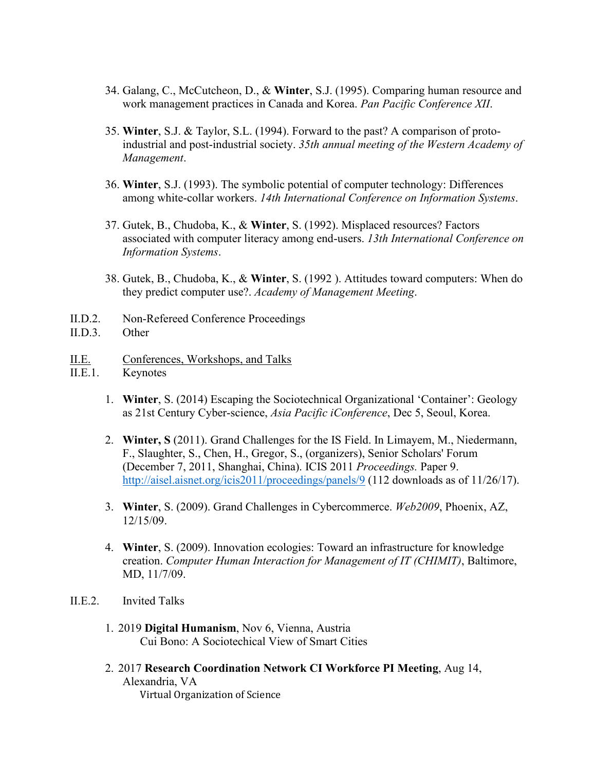- 34. Galang, C., McCutcheon, D., & **Winter**, S.J. (1995). Comparing human resource and work management practices in Canada and Korea. *Pan Pacific Conference XII*.
- 35. **Winter**, S.J. & Taylor, S.L. (1994). Forward to the past? A comparison of protoindustrial and post-industrial society. *35th annual meeting of the Western Academy of Management*.
- 36. **Winter**, S.J. (1993). The symbolic potential of computer technology: Differences among white-collar workers. *14th International Conference on Information Systems*.
- 37. Gutek, B., Chudoba, K., & **Winter**, S. (1992). Misplaced resources? Factors associated with computer literacy among end-users. *13th International Conference on Information Systems*.
- 38. Gutek, B., Chudoba, K., & **Winter**, S. (1992 ). Attitudes toward computers: When do they predict computer use?. *Academy of Management Meeting*.
- II.D.2. Non-Refereed Conference Proceedings
- II.D.3. Other
- II.E. Conferences, Workshops, and Talks
- II.E.1. Keynotes
	- 1. **Winter**, S. (2014) Escaping the Sociotechnical Organizational 'Container': Geology as 21st Century Cyber-science, *Asia Pacific iConference*, Dec 5, Seoul, Korea.
	- 2. **Winter, S** (2011). Grand Challenges for the IS Field. In Limayem, M., Niedermann, F., Slaughter, S., Chen, H., Gregor, S., (organizers), Senior Scholars' Forum (December 7, 2011, Shanghai, China). ICIS 2011 *Proceedings.* Paper 9. <http://aisel.aisnet.org/icis2011/proceedings/panels/9> (112 downloads as of 11/26/17).
	- 3. **Winter**, S. (2009). Grand Challenges in Cybercommerce. *Web2009*, Phoenix, AZ, 12/15/09.
	- 4. **Winter**, S. (2009). Innovation ecologies: Toward an infrastructure for knowledge creation. *Computer Human Interaction for Management of IT (CHIMIT)*, Baltimore, MD, 11/7/09.
- II.E.2. Invited Talks
	- 1. 2019 **Digital Humanism**, Nov 6, Vienna, Austria Cui Bono: A Sociotechical View of Smart Cities
	- 2. 2017 **Research Coordination Network CI Workforce PI Meeting**, Aug 14, Alexandria, VA Virtual Organization of Science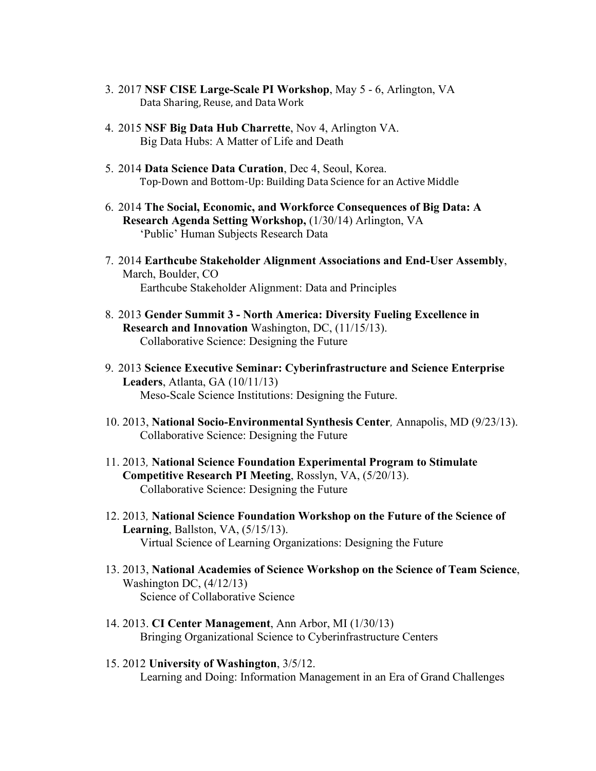- 3. 2017 **NSF CISE Large-Scale PI Workshop**, May 5 6, Arlington, VA Data Sharing, Reuse, and Data Work
- 4. 2015 **NSF Big Data Hub Charrette**, Nov 4, Arlington VA. Big Data Hubs: A Matter of Life and Death
- 5. 2014 **Data Science Data Curation**, Dec 4, Seoul, Korea. Top-Down and Bottom-Up: Building Data Science for an Active Middle
- 6. 2014 **The Social, Economic, and Workforce Consequences of Big Data: A Research Agenda Setting Workshop,** (1/30/14) Arlington, VA 'Public' Human Subjects Research Data
- 7. 2014 **Earthcube Stakeholder Alignment Associations and End-User Assembly**, March, Boulder, CO Earthcube Stakeholder Alignment: Data and Principles
- 8. 2013 **Gender Summit 3 - North America: Diversity Fueling Excellence in Research and Innovation** Washington, DC, (11/15/13). Collaborative Science: Designing the Future
- 9. 2013 **Science Executive Seminar: Cyberinfrastructure and Science Enterprise Leaders**, Atlanta, GA (10/11/13) Meso-Scale Science Institutions: Designing the Future.
- 10. 2013, **National Socio-Environmental Synthesis Center***,* Annapolis, MD (9/23/13). Collaborative Science: Designing the Future
- 11. 2013*,* **National Science Foundation Experimental Program to Stimulate Competitive Research PI Meeting**, Rosslyn, VA, (5/20/13). Collaborative Science: Designing the Future
- 12. 2013*,* **National Science Foundation Workshop on the Future of the Science of Learning**, Ballston, VA, (5/15/13). Virtual Science of Learning Organizations: Designing the Future
- 13. 2013, **National Academies of Science Workshop on the Science of Team Science**, Washington DC, (4/12/13) Science of Collaborative Science
- 14. 2013. **CI Center Management**, Ann Arbor, MI (1/30/13) Bringing Organizational Science to Cyberinfrastructure Centers
- 15. 2012 **University of Washington**, 3/5/12. Learning and Doing: Information Management in an Era of Grand Challenges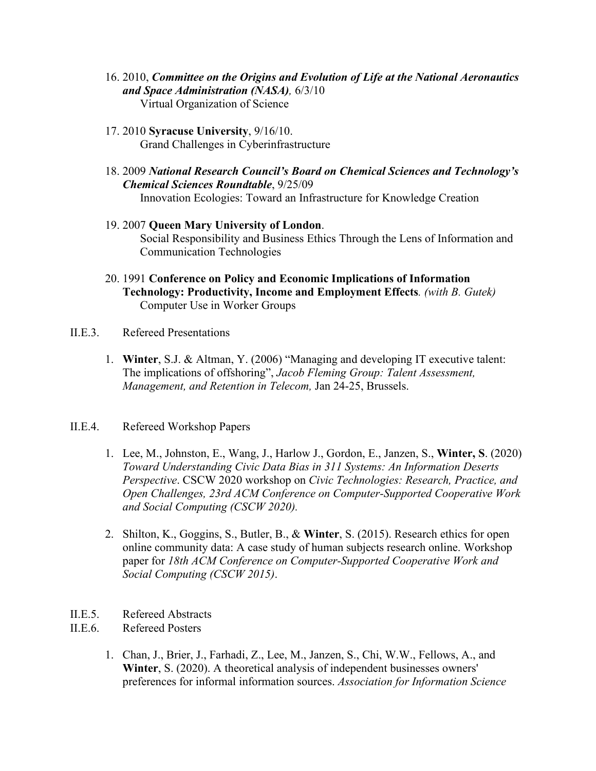- 16. 2010, *Committee on the Origins and Evolution of Life at the National Aeronautics and Space Administration (NASA),* 6/3/10 Virtual Organization of Science
- 17. 2010 **Syracuse University**, 9/16/10. Grand Challenges in Cyberinfrastructure
- 18. 2009 *National Research Council's Board on Chemical Sciences and Technology's Chemical Sciences Roundtable*, 9/25/09 Innovation Ecologies: Toward an Infrastructure for Knowledge Creation
- 19. 2007 **Queen Mary University of London**. Social Responsibility and Business Ethics Through the Lens of Information and Communication Technologies
- 20. 1991 **Conference on Policy and Economic Implications of Information Technology: Productivity, Income and Employment Effects***. (with B. Gutek)* Computer Use in Worker Groups
- II.E.3. Refereed Presentations
	- 1. **Winter**, S.J. & Altman, Y. (2006) "Managing and developing IT executive talent: The implications of offshoring", *Jacob Fleming Group: Talent Assessment, Management, and Retention in Telecom,* Jan 24-25, Brussels.
- II.E.4. Refereed Workshop Papers
	- 1. Lee, M., Johnston, E., Wang, J., Harlow J., Gordon, E., Janzen, S., **Winter, S**. (2020) *Toward Understanding Civic Data Bias in 311 Systems: An Information Deserts Perspective*. CSCW 2020 workshop on *Civic Technologies: Research, Practice, and Open Challenges, 23rd ACM Conference on Computer-Supported Cooperative Work and Social Computing (CSCW 2020).*
	- 2. Shilton, K., Goggins, S., Butler, B., & **Winter**, S. (2015). Research ethics for open online community data: A case study of human subjects research online. Workshop paper for *18th ACM Conference on Computer-Supported Cooperative Work and Social Computing (CSCW 2015)*.
- II.E.5. Refereed Abstracts
- II.E.6. Refereed Posters
	- 1. Chan, J., Brier, J., Farhadi, Z., Lee, M., Janzen, S., Chi, W.W., Fellows, A., and **Winter**, S. (2020). A theoretical analysis of independent businesses owners' preferences for informal information sources. *Association for Information Science*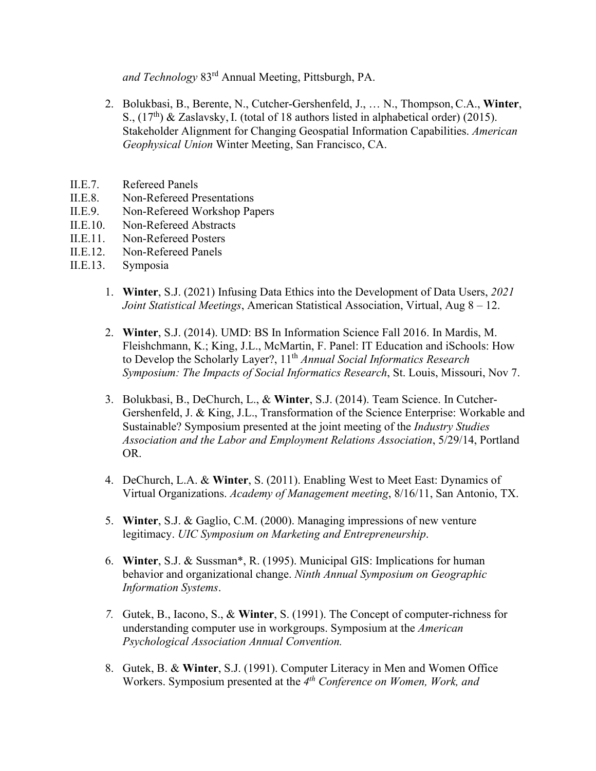*and Technology* 83rd Annual Meeting, Pittsburgh, PA.

- 2. Bolukbasi, B., Berente, N., Cutcher-Gershenfeld, J., … N., Thompson, C.A., **Winter**, S.,  $(17<sup>th</sup>)$  & Zaslavsky, I. (total of 18 authors listed in alphabetical order) (2015). Stakeholder Alignment for Changing Geospatial Information Capabilities. *American Geophysical Union* Winter Meeting, San Francisco, CA.
- II.E.7. Refereed Panels
- II.E.8. Non-Refereed Presentations
- II.E.9. Non-Refereed Workshop Papers
- II.E.10. Non-Refereed Abstracts
- II.E.11. Non-Refereed Posters
- II.E.12. Non-Refereed Panels
- II.E.13. Symposia
	- 1. **Winter**, S.J. (2021) Infusing Data Ethics into the Development of Data Users, *2021 Joint Statistical Meetings*, American Statistical Association, Virtual, Aug 8 – 12.
	- 2. **Winter**, S.J. (2014). UMD: BS In Information Science Fall 2016. In Mardis, M. Fleishchmann, K.; King, J.L., McMartin, F. Panel: IT Education and iSchools: How to Develop the Scholarly Layer?, 11th *Annual Social Informatics Research Symposium: The Impacts of Social Informatics Research*, St. Louis, Missouri, Nov 7.
	- 3. Bolukbasi, B., DeChurch, L., & **Winter**, S.J. (2014). Team Science. In Cutcher-Gershenfeld, J. & King, J.L., Transformation of the Science Enterprise: Workable and Sustainable? Symposium presented at the joint meeting of the *Industry Studies Association and the Labor and Employment Relations Association*, 5/29/14, Portland OR.
	- 4. DeChurch, L.A. & **Winter**, S. (2011). Enabling West to Meet East: Dynamics of Virtual Organizations. *Academy of Management meeting*, 8/16/11, San Antonio, TX.
	- 5. **Winter**, S.J. & Gaglio, C.M. (2000). Managing impressions of new venture legitimacy. *UIC Symposium on Marketing and Entrepreneurship*.
	- 6. **Winter**, S.J. & Sussman\*, R. (1995). Municipal GIS: Implications for human behavior and organizational change. *Ninth Annual Symposium on Geographic Information Systems*.
	- *7.* Gutek, B., Iacono, S., & **Winter**, S. (1991). The Concept of computer-richness for understanding computer use in workgroups. Symposium at the *American Psychological Association Annual Convention.*
	- 8. Gutek, B. & **Winter**, S.J. (1991). Computer Literacy in Men and Women Office Workers. Symposium presented at the *4th Conference on Women, Work, and*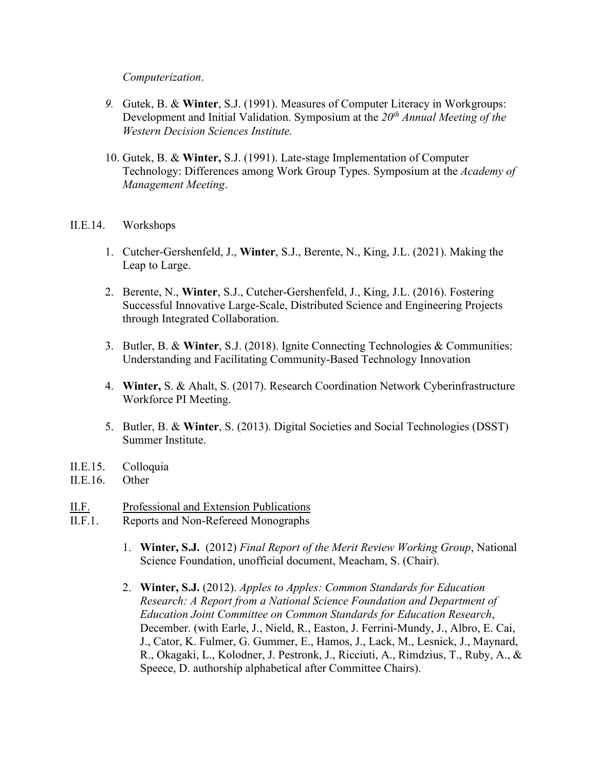#### *Computerization*.

- *9.* Gutek, B. & **Winter**, S.J. (1991). Measures of Computer Literacy in Workgroups: Development and Initial Validation. Symposium at the 20<sup>th</sup> Annual Meeting of the *Western Decision Sciences Institute.*
- 10. Gutek, B. & **Winter,** S.J. (1991). Late-stage Implementation of Computer Technology: Differences among Work Group Types. Symposium at the *Academy of Management Meeting*.
- II.E.14. Workshops
	- 1. Cutcher-Gershenfeld, J., **Winter**, S.J., Berente, N., King, J.L. (2021). Making the Leap to Large.
	- 2. Berente, N., **Winter**, S.J., Cutcher-Gershenfeld, J., King, J.L. (2016). Fostering Successful Innovative Large-Scale, Distributed Science and Engineering Projects through Integrated Collaboration.
	- 3. Butler, B. & **Winter**, S.J. (2018). Ignite Connecting Technologies & Communities: Understanding and Facilitating Community-Based Technology Innovation
	- 4. **Winter,** S. & Ahalt, S. (2017). Research Coordination Network Cyberinfrastructure Workforce PI Meeting.
	- 5. Butler, B. & **Winter**, S. (2013). Digital Societies and Social Technologies (DSST) Summer Institute.
- II.E.15. Colloquia
- II.E.16. Other
- II.F. Professional and Extension Publications
- II.F.1. Reports and Non-Refereed Monographs
	- 1. **Winter, S.J.** (2012) *Final Report of the Merit Review Working Group*, National Science Foundation, unofficial document, Meacham, S. (Chair).
	- 2. **Winter, S.J.** (2012). *Apples to Apples: Common Standards for Education Research: A Report from a National Science Foundation and Department of Education Joint Committee on Common Standards for Education Research*, December. (with Earle, J., Nield, R., Easton, J. Ferrini-Mundy, J., Albro, E. Cai, J., Cator, K. Fulmer, G. Gummer, E., Hamos, J., Lack, M., Lesnick, J., Maynard, R., Okagaki, L., Kolodner, J. Pestronk, J., Ricciuti, A., Rimdzius, T., Ruby, A., & Speece, D. authorship alphabetical after Committee Chairs).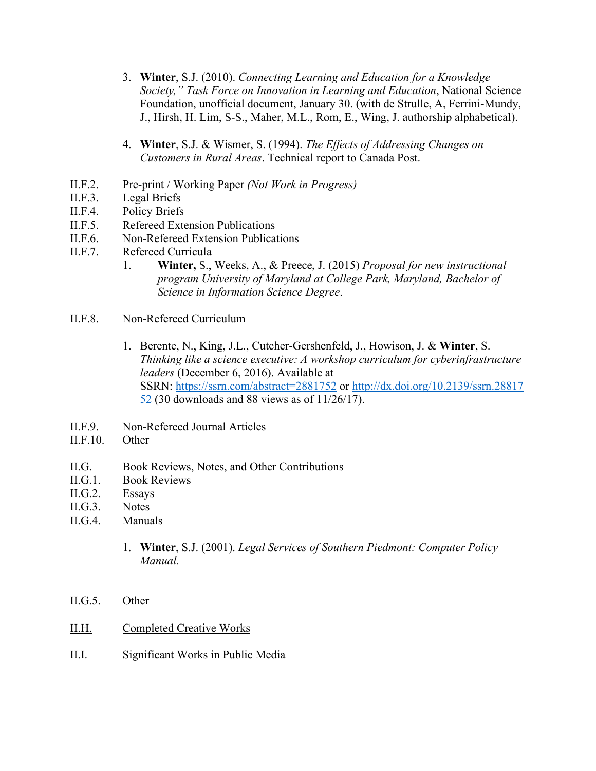- 3. **Winter**, S.J. (2010). *Connecting Learning and Education for a Knowledge Society," Task Force on Innovation in Learning and Education*, National Science Foundation, unofficial document, January 30. (with de Strulle, A, Ferrini-Mundy, J., Hirsh, H. Lim, S-S., Maher, M.L., Rom, E., Wing, J. authorship alphabetical).
- 4. **Winter**, S.J. & Wismer, S. (1994). *The Effects of Addressing Changes on Customers in Rural Areas*. Technical report to Canada Post.
- II.F.2. Pre-print / Working Paper *(Not Work in Progress)*
- II.F.3. Legal Briefs
- II.F.4. Policy Briefs
- II.F.5. Refereed Extension Publications
- II.F.6. Non-Refereed Extension Publications
- II.F.7. Refereed Curricula
	- 1. **Winter,** S., Weeks, A., & Preece, J. (2015) *Proposal for new instructional program University of Maryland at College Park, Maryland, Bachelor of Science in Information Science Degree*.
- II.F.8. Non-Refereed Curriculum
	- 1. Berente, N., King, J.L., Cutcher-Gershenfeld, J., Howison, J. & **Winter**, S. *Thinking like a science executive: A workshop curriculum for cyberinfrastructure leaders* (December 6, 2016). Available at SSRN: <https://ssrn.com/abstract=2881752> or [http://dx.doi.org/10.2139/ssrn.28817](http://dx.doi.org/10.2139/ssrn.2881752) [52](http://dx.doi.org/10.2139/ssrn.2881752) (30 downloads and 88 views as of 11/26/17).
- II.F.9. Non-Refereed Journal Articles
- II.F.10. Other
- II.G. Book Reviews, Notes, and Other Contributions
- II.G.1. Book Reviews
- II.G.2. Essays
- II.G.3. Notes
- II.G.4. Manuals
	- 1. **Winter**, S.J. (2001). *Legal Services of Southern Piedmont: Computer Policy Manual.*
- II.G.5. Other
- II.H. Completed Creative Works
- II.I. Significant Works in Public Media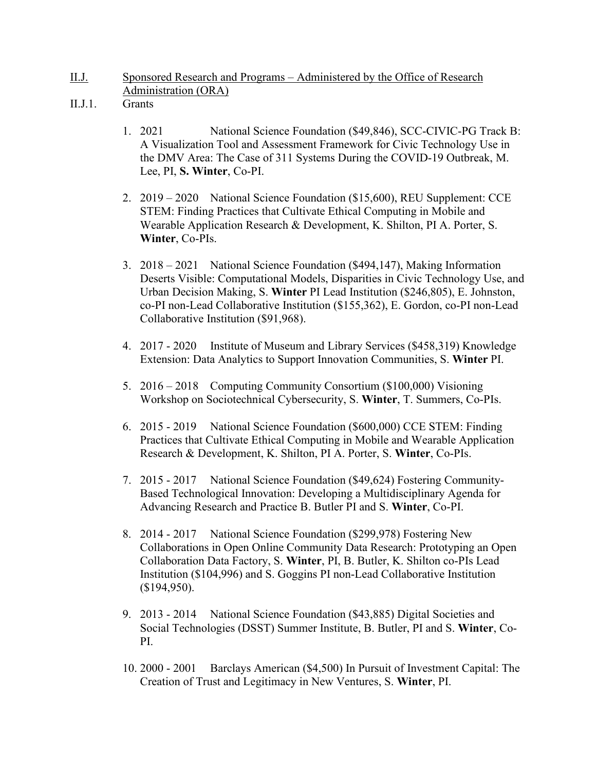- II.J. Sponsored Research and Programs Administered by the Office of Research Administration (ORA)
- II.J.1. Grants
	- 1. 2021 National Science Foundation (\$49,846), [SCC-CIVIC-PG Track B:](javascript:void(0))  [A Visualization Tool and Assessment Framework for Civic Technology Use in](javascript:void(0))  [the DMV Area: The Case of 311 Systems During the COVID-19 Outbreak,](javascript:void(0)) M. Lee, PI, **S. Winter**, Co-PI.
	- 2. 2019 2020 National Science Foundation (\$15,600), REU Supplement: CCE STEM: Finding Practices that Cultivate Ethical Computing in Mobile and Wearable Application Research & Development, K. Shilton, PI A. Porter, S. **Winter**, Co-PIs.
	- 3. 2018 2021 National Science Foundation (\$494,147), Making Information Deserts Visible: Computational Models, Disparities in Civic Technology Use, and Urban Decision Making, S. **Winter** PI Lead Institution (\$246,805), E. Johnston, co-PI non-Lead Collaborative Institution (\$155,362), E. Gordon, co-PI non-Lead Collaborative Institution (\$91,968).
	- 4. 2017 2020 Institute of Museum and Library Services (\$458,319) Knowledge Extension: Data Analytics to Support Innovation Communities, S. **Winter** PI.
	- 5. 2016 2018 Computing Community Consortium (\$100,000) Visioning Workshop on Sociotechnical Cybersecurity, S. **Winter**, T. Summers, Co-PIs.
	- 6. 2015 2019 National Science Foundation (\$600,000) CCE STEM: Finding Practices that Cultivate Ethical Computing in Mobile and Wearable Application Research & Development, K. Shilton, PI A. Porter, S. **Winter**, Co-PIs.
	- 7. 2015 2017 National Science Foundation (\$49,624) Fostering Community-Based Technological Innovation: Developing a Multidisciplinary Agenda for Advancing Research and Practice B. Butler PI and S. **Winter**, Co-PI.
	- 8. 2014 2017 National Science Foundation (\$299,978) Fostering New Collaborations in Open Online Community Data Research: Prototyping an Open Collaboration Data Factory, S. **Winter**, PI, B. Butler, K. Shilton co-PIs Lead Institution (\$104,996) and S. Goggins PI non-Lead Collaborative Institution (\$194,950).
	- 9. 2013 2014 National Science Foundation (\$43,885) Digital Societies and Social Technologies (DSST) Summer Institute, B. Butler, PI and S. **Winter**, Co-PI.
	- 10. 2000 2001 Barclays American (\$4,500) In Pursuit of Investment Capital: The Creation of Trust and Legitimacy in New Ventures, S. **Winter**, PI.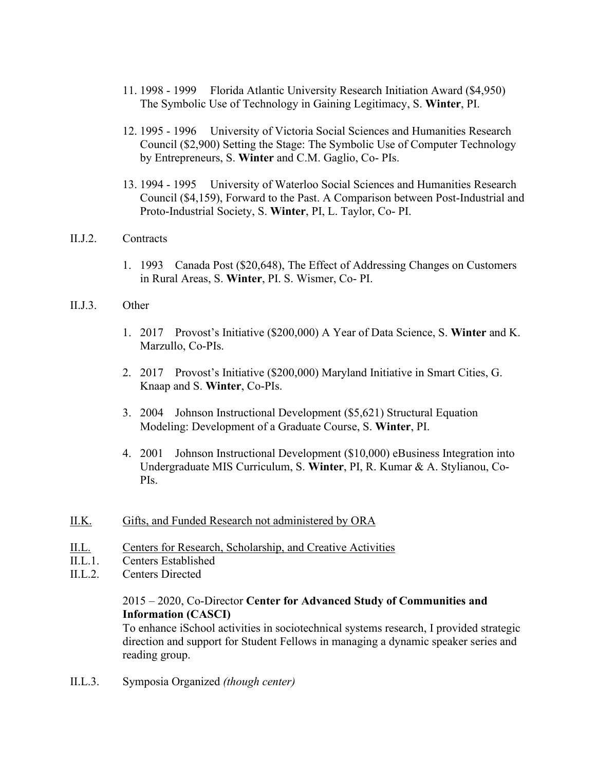- 11. 1998 1999 Florida Atlantic University Research Initiation Award (\$4,950) The Symbolic Use of Technology in Gaining Legitimacy, S. **Winter**, PI.
- 12. 1995 1996 University of Victoria Social Sciences and Humanities Research Council (\$2,900) Setting the Stage: The Symbolic Use of Computer Technology by Entrepreneurs, S. **Winter** and C.M. Gaglio, Co- PIs.
- 13. 1994 1995 University of Waterloo Social Sciences and Humanities Research Council (\$4,159), Forward to the Past. A Comparison between Post-Industrial and Proto-Industrial Society, S. **Winter**, PI, L. Taylor, Co- PI.
- II.J.2. Contracts
	- 1. 1993 Canada Post (\$20,648), The Effect of Addressing Changes on Customers in Rural Areas, S. **Winter**, PI. S. Wismer, Co- PI.
- II.J.3. Other
	- 1. 2017 Provost's Initiative (\$200,000) A Year of Data Science, S. **Winter** and K. Marzullo, Co-PIs.
	- 2. 2017 Provost's Initiative (\$200,000) Maryland Initiative in Smart Cities, G. Knaap and S. **Winter**, Co-PIs.
	- 3. 2004 Johnson Instructional Development (\$5,621) Structural Equation Modeling: Development of a Graduate Course, S. **Winter**, PI.
	- 4. 2001 Johnson Instructional Development (\$10,000) eBusiness Integration into Undergraduate MIS Curriculum, S. **Winter**, PI, R. Kumar & A. Stylianou, Co-PIs.
- II.K. Gifts, and Funded Research not administered by ORA
- II.L. Centers for Research, Scholarship, and Creative Activities
- II.L.1. Centers Established
- II.L.2. Centers Directed

## 2015 – 2020, Co-Director **Center for Advanced Study of Communities and Information (CASCI)**

To enhance iSchool activities in sociotechnical systems research, I provided strategic direction and support for Student Fellows in managing a dynamic speaker series and reading group.

II.L.3. Symposia Organized *(though center)*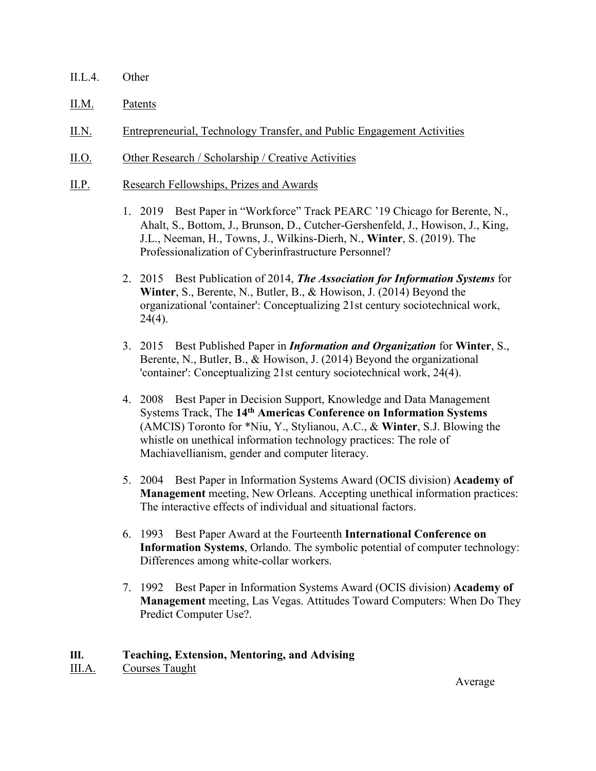- II.L.4. Other
- II.M. Patents
- II.N. Entrepreneurial, Technology Transfer, and Public Engagement Activities
- II.O. Other Research / Scholarship / Creative Activities
- II.P. Research Fellowships, Prizes and Awards
	- 1. 2019 Best Paper in "Workforce" Track PEARC '19 Chicago for Berente, N., Ahalt, S., Bottom, J., Brunson, D., Cutcher-Gershenfeld, J., Howison, J., King, J.L., Neeman, H., Towns, J., Wilkins-Dierh, N., **Winter**, S. (2019). The Professionalization of Cyberinfrastructure Personnel?
	- 2. 2015 Best Publication of 2014, *The Association for Information Systems* for **Winter**, S., Berente, N., Butler, B., & Howison, J. (2014) Beyond the organizational 'container': Conceptualizing 21st century sociotechnical work,  $24(4)$ .
	- 3. 2015 Best Published Paper in *Information and Organization* for **Winter**, S., Berente, N., Butler, B., & Howison, J. (2014) Beyond the organizational 'container': Conceptualizing 21st century sociotechnical work, 24(4).
	- 4. 2008 Best Paper in Decision Support, Knowledge and Data Management Systems Track, The **14th Americas Conference on Information Systems** (AMCIS) Toronto for \*Niu, Y., Stylianou, A.C., & **Winter**, S.J. Blowing the whistle on unethical information technology practices: The role of Machiavellianism, gender and computer literacy.
	- 5. 2004 Best Paper in Information Systems Award (OCIS division) **Academy of Management** meeting, New Orleans. Accepting unethical information practices: The interactive effects of individual and situational factors.
	- 6. 1993 Best Paper Award at the Fourteenth **International Conference on Information Systems**, Orlando. The symbolic potential of computer technology: Differences among white-collar workers.
	- 7. 1992 Best Paper in Information Systems Award (OCIS division) **Academy of Management** meeting, Las Vegas. Attitudes Toward Computers: When Do They Predict Computer Use?.

### **III. Teaching, Extension, Mentoring, and Advising**

III.A. Courses Taught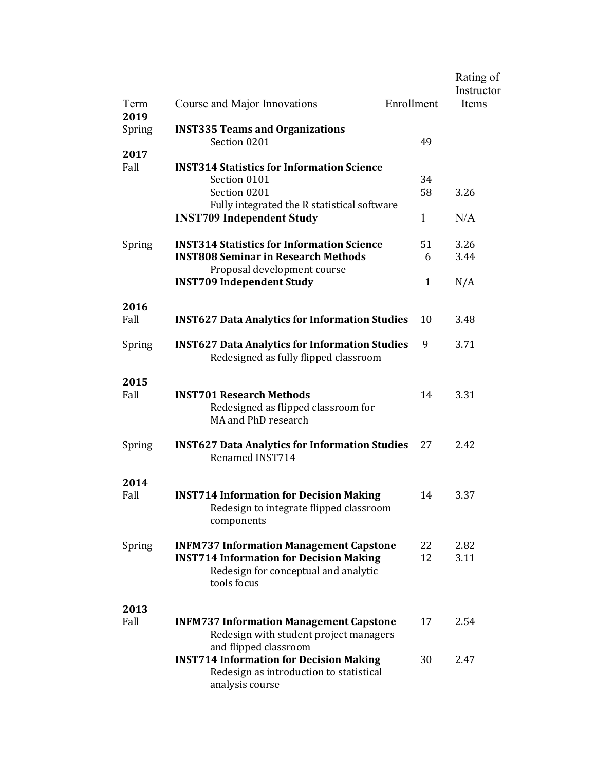|        |                                                                          |              | Rating of  |
|--------|--------------------------------------------------------------------------|--------------|------------|
|        |                                                                          |              | Instructor |
| Term   | Course and Major Innovations                                             | Enrollment   | Items      |
| 2019   |                                                                          |              |            |
| Spring | <b>INST335 Teams and Organizations</b>                                   |              |            |
|        | Section 0201                                                             | 49           |            |
| 2017   |                                                                          |              |            |
| Fall   | <b>INST314 Statistics for Information Science</b>                        |              |            |
|        | Section 0101                                                             | 34           |            |
|        | Section 0201                                                             | 58           | 3.26       |
|        | Fully integrated the R statistical software                              |              |            |
|        | <b>INST709 Independent Study</b>                                         | $\mathbf{1}$ | N/A        |
|        |                                                                          |              |            |
| Spring | <b>INST314 Statistics for Information Science</b>                        | 51           | 3.26       |
|        | <b>INST808 Seminar in Research Methods</b>                               | 6            | 3.44       |
|        | Proposal development course                                              |              |            |
|        | <b>INST709 Independent Study</b>                                         | $\mathbf{1}$ | N/A        |
|        |                                                                          |              |            |
| 2016   |                                                                          |              |            |
| Fall   | <b>INST627 Data Analytics for Information Studies</b>                    | 10           | 3.48       |
|        |                                                                          |              |            |
| Spring | <b>INST627 Data Analytics for Information Studies</b>                    | 9            | 3.71       |
|        | Redesigned as fully flipped classroom                                    |              |            |
|        |                                                                          |              |            |
| 2015   |                                                                          |              |            |
| Fall   | <b>INST701 Research Methods</b>                                          | 14           | 3.31       |
|        | Redesigned as flipped classroom for                                      |              |            |
|        | MA and PhD research                                                      |              |            |
|        |                                                                          |              |            |
| Spring | <b>INST627 Data Analytics for Information Studies</b><br>Renamed INST714 | 27           | 2.42       |
|        |                                                                          |              |            |
| 2014   |                                                                          |              |            |
| Fall   | <b>INST714 Information for Decision Making</b>                           | 14           | 3.37       |
|        | Redesign to integrate flipped classroom                                  |              |            |
|        | components                                                               |              |            |
|        |                                                                          |              |            |
| Spring | <b>INFM737 Information Management Capstone</b>                           | 22           | 2.82       |
|        | <b>INST714 Information for Decision Making</b>                           | 12           | 3.11       |
|        | Redesign for conceptual and analytic                                     |              |            |
|        | tools focus                                                              |              |            |
|        |                                                                          |              |            |
| 2013   |                                                                          |              |            |
| Fall   | <b>INFM737 Information Management Capstone</b>                           | 17           | 2.54       |
|        | Redesign with student project managers                                   |              |            |
|        | and flipped classroom                                                    |              |            |
|        | <b>INST714 Information for Decision Making</b>                           | 30           | 2.47       |
|        | Redesign as introduction to statistical                                  |              |            |
|        | analysis course                                                          |              |            |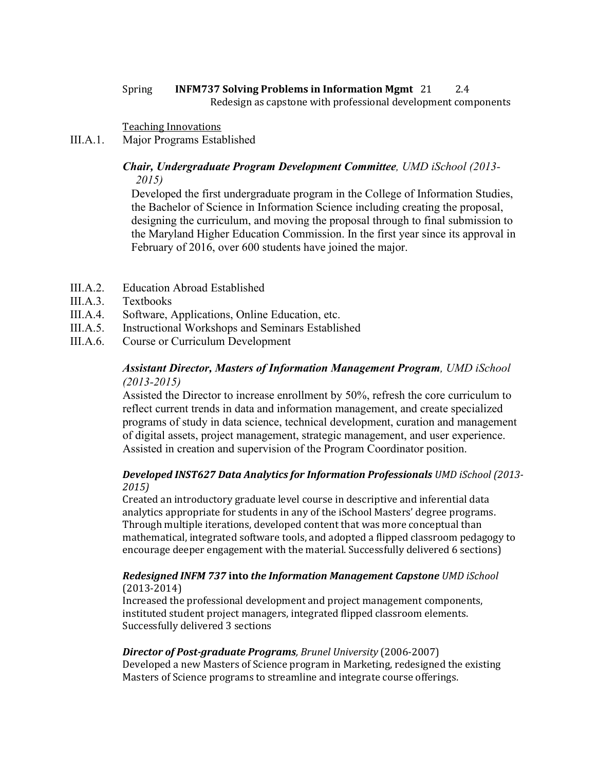#### Spring **INFM737 Solving Problems in Information Mgmt** 21 2.4 Redesign as capstone with professional development components

Teaching Innovations

III.A.1. Major Programs Established

### *Chair, Undergraduate Program Development Committee, UMD iSchool (2013- 2015)*

Developed the first undergraduate program in the College of Information Studies, the Bachelor of Science in Information Science including creating the proposal, designing the curriculum, and moving the proposal through to final submission to the Maryland Higher Education Commission. In the first year since its approval in February of 2016, over 600 students have joined the major.

- III.A.2. Education Abroad Established
- III.A.3. Textbooks
- III.A.4. Software, Applications, Online Education, etc.
- III.A.5. Instructional Workshops and Seminars Established
- III.A.6. Course or Curriculum Development

## *Assistant Director, Masters of Information Management Program, UMD iSchool (2013-2015)*

Assisted the Director to increase enrollment by 50%, refresh the core curriculum to reflect current trends in data and information management, and create specialized programs of study in data science, technical development, curation and management of digital assets, project management, strategic management, and user experience. Assisted in creation and supervision of the Program Coordinator position.

### *Developed INST627 Data Analytics for Information Professionals UMD iSchool (2013- 2015)*

Created an introductory graduate level course in descriptive and inferential data analytics appropriate for students in any of the iSchool Masters' degree programs. Through multiple iterations, developed content that was more conceptual than mathematical, integrated software tools, and adopted a flipped classroom pedagogy to encourage deeper engagement with the material. Successfully delivered 6 sections)

#### *Redesigned INFM 737* **into** *the Information Management Capstone UMD iSchool* (2013-2014)

Increased the professional development and project management components, instituted student project managers, integrated flipped classroom elements. Successfully delivered 3 sections

### *Director of Post-graduate Programs, Brunel University* (2006-2007)

Developed a new Masters of Science program in Marketing, redesigned the existing Masters of Science programs to streamline and integrate course offerings.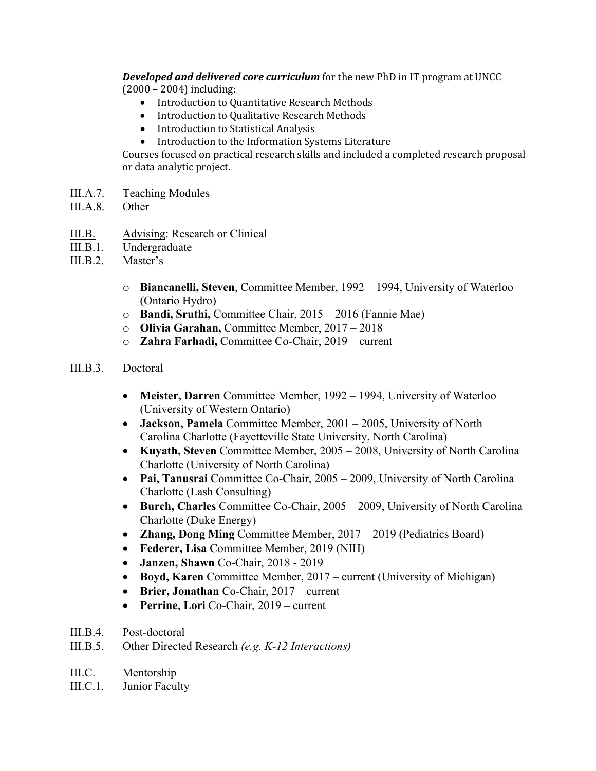*Developed and delivered core curriculum* for the new PhD in IT program at UNCC (2000 – 2004) including:

- Introduction to Quantitative Research Methods
- Introduction to Qualitative Research Methods
- Introduction to Statistical Analysis
- Introduction to the Information Systems Literature

Courses focused on practical research skills and included a completed research proposal or data analytic project.

- III.A.7. Teaching Modules
- III.A.8. Other
- III.B. Advising: Research or Clinical
- III.B.1. Undergraduate
- III.B.2. Master's
	- o **Biancanelli, Steven**, Committee Member, 1992 1994, University of Waterloo (Ontario Hydro)
	- o **Bandi, Sruthi,** Committee Chair, 2015 2016 (Fannie Mae)
	- o **Olivia Garahan,** Committee Member, 2017 2018
	- o **Zahra Farhadi,** Committee Co-Chair, 2019 current
- III.B.3. Doctoral
	- **Meister, Darren** Committee Member, 1992 1994, University of Waterloo (University of Western Ontario)
	- **Jackson, Pamela** Committee Member, 2001 2005, University of North Carolina Charlotte (Fayetteville State University, North Carolina)
	- **Kuyath, Steven** Committee Member, 2005 2008, University of North Carolina Charlotte (University of North Carolina)
	- **Pai, Tanusrai** Committee Co-Chair, 2005 2009, University of North Carolina Charlotte (Lash Consulting)
	- **Burch, Charles** Committee Co-Chair, 2005 2009, University of North Carolina Charlotte (Duke Energy)
	- **Zhang, Dong Ming** Committee Member, 2017 2019 (Pediatrics Board)
	- **Federer, Lisa** Committee Member, 2019 (NIH)
	- **Janzen, Shawn** Co-Chair, 2018 2019
	- **Boyd, Karen** Committee Member, 2017 current (University of Michigan)
	- **Brier, Jonathan** Co-Chair, 2017 current
	- **Perrine, Lori** Co-Chair, 2019 current
- III.B.4. Post-doctoral
- III.B.5. Other Directed Research *(e.g. K-12 Interactions)*
- III.C. Mentorship
- III.C.1. Junior Faculty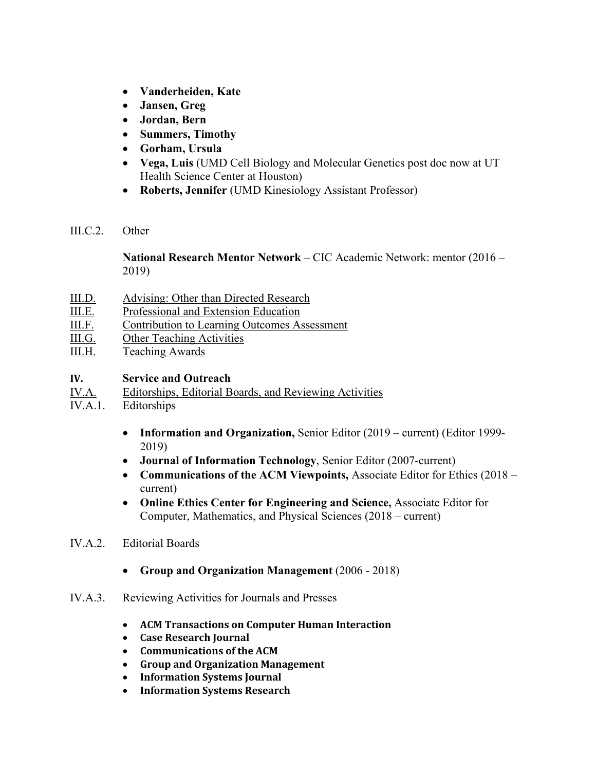- **Vanderheiden, Kate**
- **Jansen, Greg**
- **Jordan, Bern**
- **Summers, Timothy**
- **Gorham, Ursula**
- **Vega, Luis** (UMD Cell Biology and Molecular Genetics post doc now at UT Health Science Center at Houston)
- **Roberts, Jennifer** (UMD Kinesiology Assistant Professor)
- III.C.2. Other

**National Research Mentor Network** – CIC Academic Network: mentor (2016 – 2019)

- III.D. Advising: Other than Directed Research
- III.E. Professional and Extension Education
- III.F. Contribution to Learning Outcomes Assessment
- III.G. Other Teaching Activities
- III.H. Teaching Awards

## **IV. Service and Outreach**

- IV.A. Editorships, Editorial Boards, and Reviewing Activities
- IV.A.1. Editorships
	- **Information and Organization,** Senior Editor (2019 current) (Editor 1999- 2019)
	- **Journal of Information Technology**, Senior Editor (2007-current)
	- **Communications of the ACM Viewpoints,** Associate Editor for Ethics (2018 current)
	- **Online Ethics Center for Engineering and Science,** Associate Editor for Computer, Mathematics, and Physical Sciences (2018 – current)
- IV.A.2. Editorial Boards
	- **Group and Organization Management** (2006 2018)
- IV.A.3. Reviewing Activities for Journals and Presses
	- **ACM Transactions on Computer Human Interaction**
	- **Case Research Journal**
	- **Communications of the ACM**
	- **Group and Organization Management**
	- **Information Systems Journal**
	- **Information Systems Research**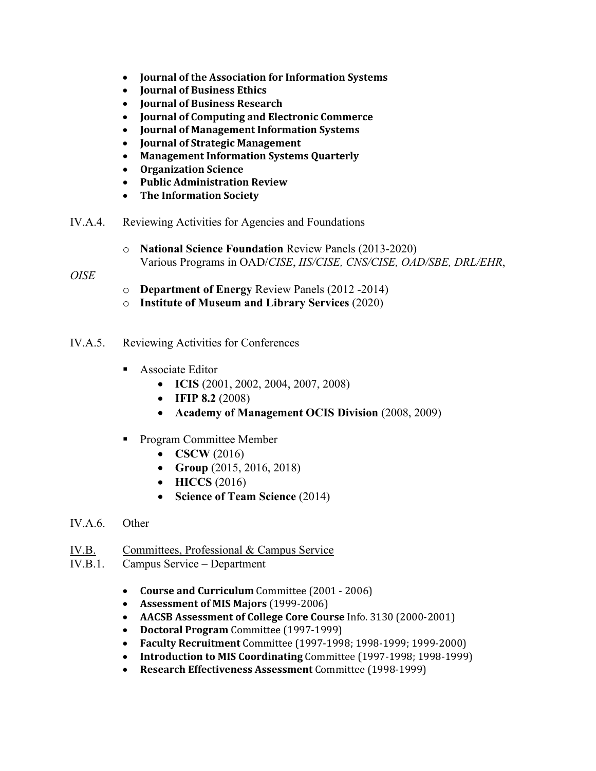- **Journal of the Association for Information Systems**
- **Journal of Business Ethics**
- **Journal of Business Research**
- **Journal of Computing and Electronic Commerce**
- **Journal of Management Information Systems**
- **Journal of Strategic Management**
- **Management Information Systems Quarterly**
- **Organization Science**
- **Public Administration Review**
- **The Information Society**
- IV.A.4. Reviewing Activities for Agencies and Foundations
	- o **National Science Foundation** Review Panels (2013-2020) Various Programs in OAD/*CISE*, *IIS/CISE, CNS/CISE, OAD/SBE, DRL/EHR*,

*OISE*

- o **Department of Energy** Review Panels (2012 -2014)
- o **Institute of Museum and Library Services** (2020)
- IV.A.5. Reviewing Activities for Conferences
	- **Associate Editor** 
		- **ICIS** (2001, 2002, 2004, 2007, 2008)
		- **IFIP 8.2** (2008)
		- **Academy of Management OCIS Division** (2008, 2009)
	- **Program Committee Member** 
		- **CSCW** (2016)
		- **Group** (2015, 2016, 2018)
		- **HICCS** (2016)
		- **Science of Team Science** (2014)
- IV.A.6. Other
- IV.B. Committees, Professional & Campus Service
- IV.B.1. Campus Service Department
	- **Course and Curriculum** Committee (2001 2006)
	- **Assessment of MIS Majors** (1999-2006)
	- **AACSB Assessment of College Core Course** Info. 3130 (2000-2001)
	- **Doctoral Program** Committee (1997-1999)
	- **Faculty Recruitment** Committee (1997-1998; 1998-1999; 1999-2000)
	- **Introduction to MIS Coordinating** Committee (1997-1998; 1998-1999)
	- **Research Effectiveness Assessment** Committee (1998-1999)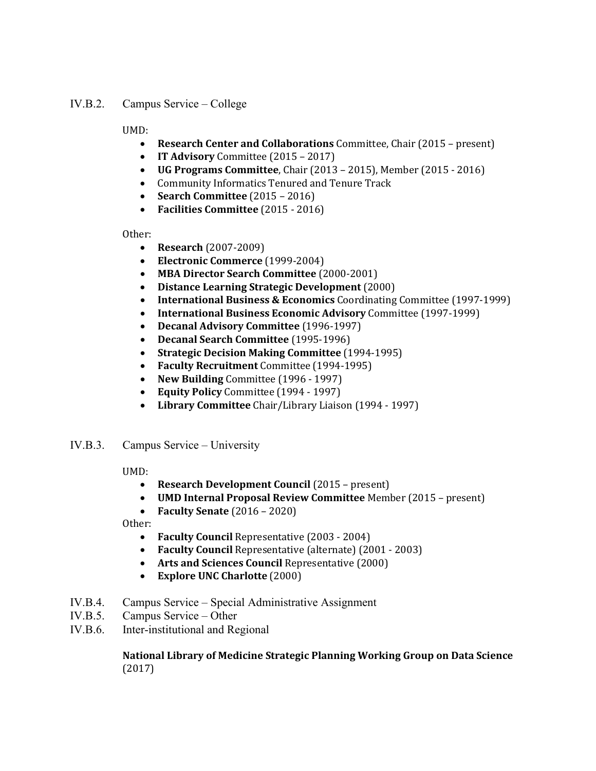### IV.B.2. Campus Service – College

UMD:

- **Research Center and Collaborations** Committee, Chair (2015 present)
- **IT Advisory** Committee (2015 2017)
- **UG Programs Committee**, Chair (2013 2015), Member (2015 2016)
- Community Informatics Tenured and Tenure Track
- **Search Committee** (2015 2016)
- **Facilities Committee** (2015 2016)

Other:

- **Research** (2007-2009)
- **Electronic Commerce** (1999-2004)
- **MBA Director Search Committee** (2000-2001)
- **Distance Learning Strategic Development** (2000)
- **International Business & Economics** Coordinating Committee (1997-1999)<br>• **International Business Economic Advisory** Committee (1997-1999)
- **International Business Economic Advisory** Committee (1997-1999)
- **Decanal Advisory Committee** (1996-1997)
- **Decanal Search Committee** (1995-1996)
- **Strategic Decision Making Committee** (1994-1995)
- **Faculty Recruitment** Committee (1994-1995)<br>• New Building Committee (1996 1997)
- **New Building** Committee (1996 1997)
- **Equity Policy** Committee (1994 1997)
- **Library Committee** Chair/Library Liaison (1994 1997)
- IV.B.3. Campus Service University

UMD:

- **Research Development Council** (2015 present)
- **UMD Internal Proposal Review Committee** Member (2015 present)
- **Faculty Senate** (2016 2020)

Other:

- **Faculty Council** Representative (2003 2004)
- **Faculty Council** Representative (alternate) (2001 2003)
- **Arts and Sciences Council** Representative (2000)
- **Explore UNC Charlotte** (2000)
- IV.B.4. Campus Service Special Administrative Assignment
- IV.B.5. Campus Service Other
- IV.B.6. Inter-institutional and Regional

### **National Library of Medicine Strategic Planning Working Group on Data Science** (2017)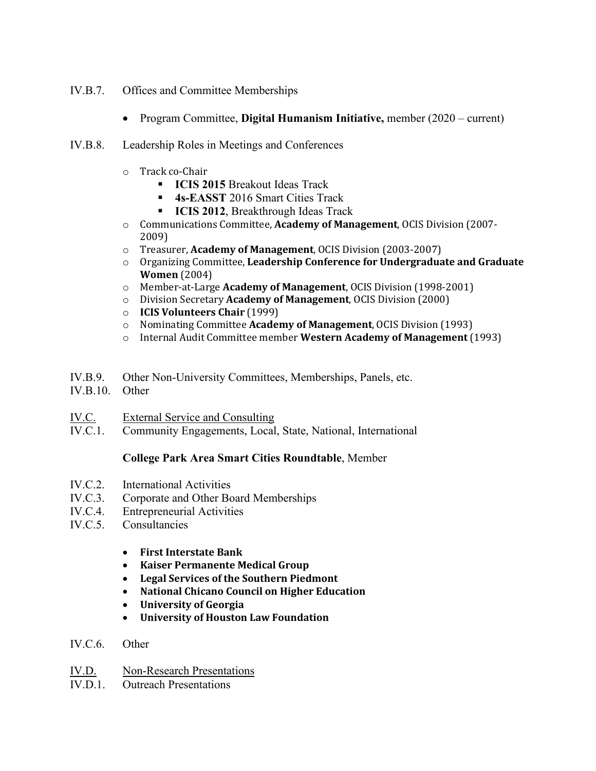- IV.B.7. Offices and Committee Memberships
	- Program Committee, **Digital Humanism Initiative,** member (2020 current)
- IV.B.8. Leadership Roles in Meetings and Conferences
	- o Track co-Chair
		- **ICIS 2015** Breakout Ideas Track
		- **4s-EASST** 2016 Smart Cities Track
		- **ICIS 2012**, Breakthrough Ideas Track
	- o Communications Committee, **Academy of Management**, OCIS Division (2007- 2009)
	- o Treasurer, **Academy of Management**, OCIS Division (2003-2007)
	- o Organizing Committee, **Leadership Conference for Undergraduate and Graduate Women** (2004)
	- o Member-at-Large **Academy of Management**, OCIS Division (1998-2001)
	- o Division Secretary **Academy of Management**, OCIS Division (2000)
	- o **ICIS Volunteers Chair** (1999)
	- o Nominating Committee **Academy of Management**, OCIS Division (1993)
	- o Internal Audit Committee member **Western Academy of Management** (1993)
- IV.B.9. Other Non-University Committees, Memberships, Panels, etc.
- IV.B.10. Other
- IV.C. External Service and Consulting
- IV.C.1. Community Engagements, Local, State, National, International

## **College Park Area Smart Cities Roundtable**, Member

- IV.C.2. International Activities
- IV.C.3. Corporate and Other Board Memberships
- IV.C.4. Entrepreneurial Activities
- IV.C.5. Consultancies
	- **First Interstate Bank**
	- **Kaiser Permanente Medical Group**
	- **Legal Services of the Southern Piedmont**
	- **National Chicano Council on Higher Education**
	- **University of Georgia**
	- **University of Houston Law Foundation**
- IV.C.6. Other
- IV.D. Non-Research Presentations
- IV.D.1. Outreach Presentations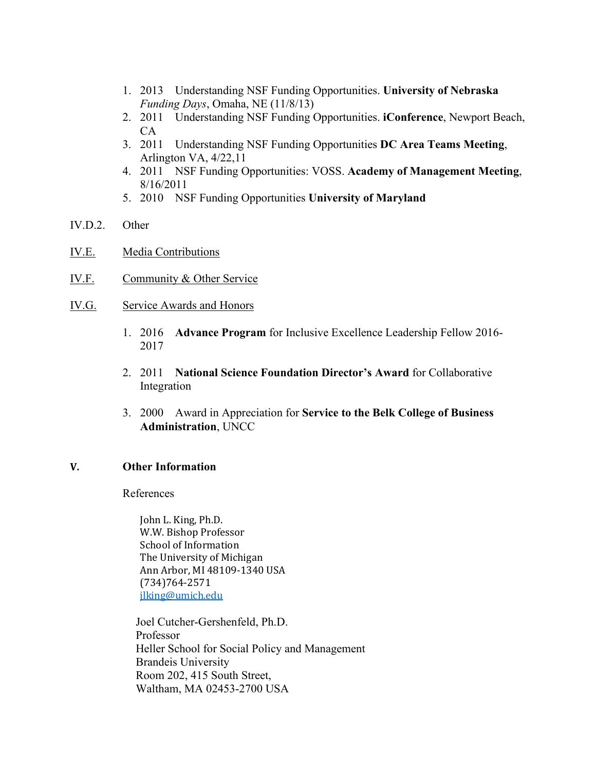- 1. 2013 Understanding NSF Funding Opportunities. **University of Nebraska** *Funding Days*, Omaha, NE (11/8/13)
- 2. 2011 Understanding NSF Funding Opportunities. **iConference**, Newport Beach,  $CA$
- 3. 2011 Understanding NSF Funding Opportunities **DC Area Teams Meeting**, Arlington VA, 4/22,11
- 4. 2011 NSF Funding Opportunities: VOSS. **Academy of Management Meeting**, 8/16/2011
- 5. 2010 NSF Funding Opportunities **University of Maryland**
- IV.D.2. Other
- IV.E. Media Contributions
- IV.F. Community & Other Service
- IV.G. Service Awards and Honors
	- 1. 2016 **Advance Program** for Inclusive Excellence Leadership Fellow 2016- 2017
	- 2. 2011 **National Science Foundation Director's Award** for Collaborative Integration
	- 3. 2000 Award in Appreciation for **Service to the Belk College of Business Administration**, UNCC

### **V. Other Information**

References

John L. King, Ph.D. W.W. Bishop Professor School of Information The University of Michigan Ann Arbor, MI 48109-1340 USA (734)764-2571 [jlking@umich.edu](mailto:jlking@umich.edu)

Joel Cutcher-Gershenfeld, Ph.D. Professor Heller School for Social Policy and Management Brandeis University Room 202, 415 South Street, Waltham, MA 02453-2700 USA